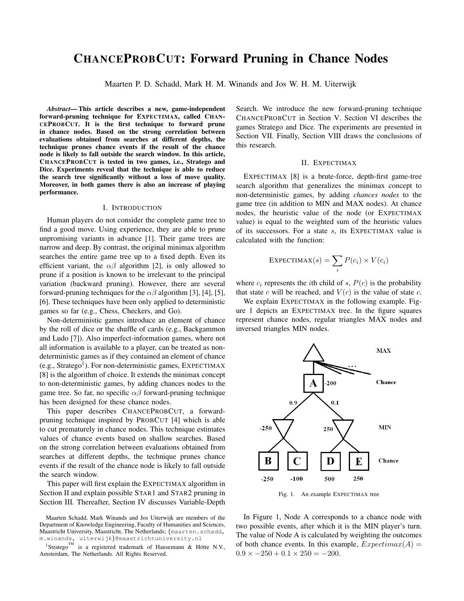# CHANCEPROBCUT: Forward Pruning in Chance Nodes

Maarten P. D. Schadd, Mark H. M. Winands and Jos W. H. M. Uiterwijk

*Abstract*— This article describes a new, game-independent forward-pruning technique for EXPECTIMAX, called CHAN-CEPROBCUT. It is the first technique to forward prune in chance nodes. Based on the strong correlation between evaluations obtained from searches at different depths, the technique prunes chance events if the result of the chance node is likely to fall outside the search window. In this article, CHANCEPROBCUT is tested in two games, i.e., Stratego and Dice. Experiments reveal that the technique is able to reduce the search tree significantly without a loss of move quality. Moreover, in both games there is also an increase of playing performance.

## I. INTRODUCTION

Human players do not consider the complete game tree to find a good move. Using experience, they are able to prune unpromising variants in advance [1]. Their game trees are narrow and deep. By contrast, the original minimax algorithm searches the entire game tree up to a fixed depth. Even its efficient variant, the  $\alpha\beta$  algorithm [2], is only allowed to prune if a position is known to be irrelevant to the principal variation (backward pruning). However, there are several forward-pruning techniques for the  $\alpha\beta$  algorithm [3], [4], [5], [6]. These techniques have been only applied to deterministic games so far (e.g., Chess, Checkers, and Go).

Non-deterministic games introduce an element of chance by the roll of dice or the shuffle of cards (e.g., Backgammon and Ludo [7]). Also imperfect-information games, where not all information is available to a player, can be treated as nondeterministic games as if they contained an element of chance (e.g., Stratego<sup>1</sup>). For non-deterministic games, EXPECTIMAX [8] is the algorithm of choice. It extends the minimax concept to non-deterministic games, by adding chances nodes to the game tree. So far, no specific  $\alpha\beta$  forward-pruning technique has been designed for these chance nodes.

This paper describes CHANCEPROBCUT, a forwardpruning technique inspired by PROBCUT [4] which is able to cut prematurely in chance nodes. This technique estimates values of chance events based on shallow searches. Based on the strong correlation between evaluations obtained from searches at different depths, the technique prunes chance events if the result of the chance node is likely to fall outside the search window.

This paper will first explain the EXPECTIMAX algorithm in Section II and explain possible STAR1 and STAR2 pruning in Section III. Thereafter, Section IV discusses Variable-Depth Search. We introduce the new forward-pruning technique CHANCEPROBCUT in Section V. Section VI describes the games Stratego and Dice. The experiments are presented in Section VII. Finally, Section VIII draws the conclusions of this research.

## II. EXPECTIMAX

EXPECTIMAX [8] is a brute-force, depth-first game-tree search algorithm that generalizes the minimax concept to non-deterministic games, by adding *chances nodes* to the game tree (in addition to MIN and MAX nodes). At chance nodes, the heuristic value of the node (or EXPECTIMAX value) is equal to the weighted sum of the heuristic values of its successors. For a state s, its EXPECTIMAX value is calculated with the function:

$$
\text{EXPECTIMAX}(s) = \sum_{i} P(c_i) \times V(c_i)
$$

where  $c_i$  represents the *i*th child of s,  $P(c)$  is the probability that state c will be reached, and  $V(c)$  is the value of state c.

We explain EXPECTIMAX in the following example. Figure 1 depicts an EXPECTIMAX tree. In the figure squares represent chance nodes, regular triangles MAX nodes and inversed triangles MIN nodes.



Fig. 1. An example EXPECTIMAX tree

In Figure 1, Node A corresponds to a chance node with two possible events, after which it is the MIN player's turn. The value of Node A is calculated by weighting the outcomes of both chance events. In this example,  $Expectimax(A) =$  $0.9 \times -250 + 0.1 \times 250 = -200.$ 

Maarten Schadd, Mark Winands and Jos Uiterwijk are members of the Department of Knowledge Engineering, Faculty of Humanities and Sciences, Maastricht University, Maastricht, The Netherlands; {maarten.schadd, m.winands, uiterwijk}@maastrichtuniversity.nl

<sup>&</sup>lt;sup>1</sup>Stratego<sup>TM</sup> is a registered trademark of Hausemann & Hötte N.V., Amsterdam, The Netherlands. All Rights Reserved.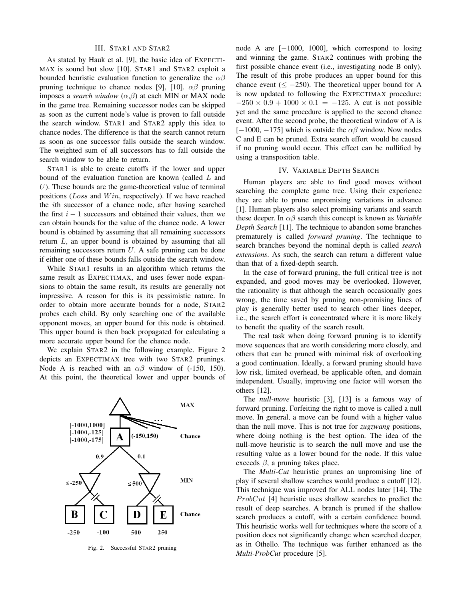#### III. STAR1 AND STAR2

As stated by Hauk et al. [9], the basic idea of EXPECTI-MAX is sound but slow [10]. STAR1 and STAR2 exploit a bounded heuristic evaluation function to generalize the  $\alpha\beta$ pruning technique to chance nodes [9], [10].  $\alpha\beta$  pruning imposes a *search window*  $(\alpha, \beta)$  at each MIN or MAX node in the game tree. Remaining successor nodes can be skipped as soon as the current node's value is proven to fall outside the search window. STAR1 and STAR2 apply this idea to chance nodes. The difference is that the search cannot return as soon as one successor falls outside the search window. The weighted sum of all successors has to fall outside the search window to be able to return.

STAR1 is able to create cutoffs if the lower and upper bound of the evaluation function are known (called L and  $U$ ). These bounds are the game-theoretical value of terminal positions ( $Loss$  and  $Win$ , respectively). If we have reached the ith successor of a chance node, after having searched the first  $i - 1$  successors and obtained their values, then we can obtain bounds for the value of the chance node. A lower bound is obtained by assuming that all remaining successors return L, an upper bound is obtained by assuming that all remaining successors return U. A safe pruning can be done if either one of these bounds falls outside the search window.

While STAR1 results in an algorithm which returns the same result as EXPECTIMAX, and uses fewer node expansions to obtain the same result, its results are generally not impressive. A reason for this is its pessimistic nature. In order to obtain more accurate bounds for a node, STAR2 probes each child. By only searching one of the available opponent moves, an upper bound for this node is obtained. This upper bound is then back propagated for calculating a more accurate upper bound for the chance node.

We explain STAR2 in the following example. Figure 2 depicts an EXPECTIMAX tree with two STAR2 prunings. Node A is reached with an  $\alpha\beta$  window of (-150, 150). At this point, the theoretical lower and upper bounds of



Fig. 2. Successful STAR2 pruning

node A are [−1000, 1000], which correspond to losing and winning the game. STAR2 continues with probing the first possible chance event (i.e., investigating node B only). The result of this probe produces an upper bound for this chance event  $(< -250)$ . The theoretical upper bound for A is now updated to following the EXPECTIMAX procedure:  $-250 \times 0.9 + 1000 \times 0.1 = -125$ . A cut is not possible yet and the same procedure is applied to the second chance event. After the second probe, the theoretical window of A is [−1000, −175] which is outside the  $\alpha\beta$  window. Now nodes C and E can be pruned. Extra search effort would be caused if no pruning would occur. This effect can be nullified by using a transposition table.

#### IV. VARIABLE DEPTH SEARCH

Human players are able to find good moves without searching the complete game tree. Using their experience they are able to prune unpromising variations in advance [1]. Human players also select promising variants and search these deeper. In αβ search this concept is known as *Variable Depth Search* [11]. The technique to abandon some branches prematurely is called *forward pruning*. The technique to search branches beyond the nominal depth is called *search extensions*. As such, the search can return a different value than that of a fixed-depth search.

In the case of forward pruning, the full critical tree is not expanded, and good moves may be overlooked. However, the rationality is that although the search occasionally goes wrong, the time saved by pruning non-promising lines of play is generally better used to search other lines deeper, i.e., the search effort is concentrated where it is more likely to benefit the quality of the search result.

The real task when doing forward pruning is to identify move sequences that are worth considering more closely, and others that can be pruned with minimal risk of overlooking a good continuation. Ideally, a forward pruning should have low risk, limited overhead, be applicable often, and domain independent. Usually, improving one factor will worsen the others [12].

The *null-move* heuristic [3], [13] is a famous way of forward pruning. Forfeiting the right to move is called a null move. In general, a move can be found with a higher value than the null move. This is not true for *zugzwang* positions, where doing nothing is the best option. The idea of the null-move heuristic is to search the null move and use the resulting value as a lower bound for the node. If this value exceeds  $\beta$ , a pruning takes place.

The *Multi-Cut* heuristic prunes an unpromising line of play if several shallow searches would produce a cutoff [12]. This technique was improved for ALL nodes later [14]. The *ProbCut* [4] heuristic uses shallow searches to predict the result of deep searches. A branch is pruned if the shallow search produces a cutoff, with a certain confidence bound. This heuristic works well for techniques where the score of a position does not significantly change when searched deeper, as in Othello. The technique was further enhanced as the *Multi-ProbCut* procedure [5].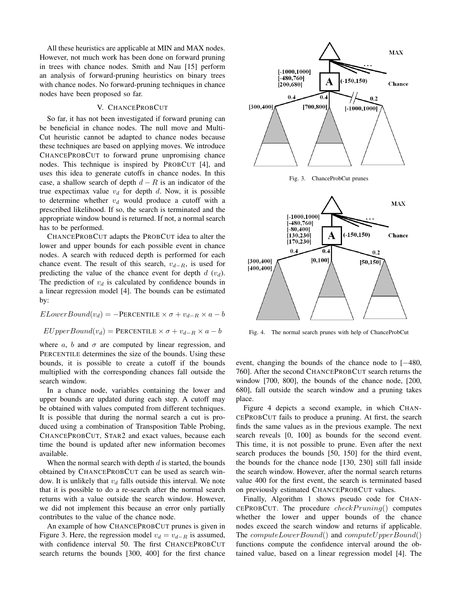All these heuristics are applicable at MIN and MAX nodes. However, not much work has been done on forward pruning in trees with chance nodes. Smith and Nau [15] perform an analysis of forward-pruning heuristics on binary trees with chance nodes. No forward-pruning techniques in chance nodes have been proposed so far.

## V. CHANCEPROBCUT

So far, it has not been investigated if forward pruning can be beneficial in chance nodes. The null move and Multi-Cut heuristic cannot be adapted to chance nodes because these techniques are based on applying moves. We introduce CHANCEPROBCUT to forward prune unpromising chance nodes. This technique is inspired by PROBCUT [4], and uses this idea to generate cutoffs in chance nodes. In this case, a shallow search of depth  $d - R$  is an indicator of the true expectimax value  $v_d$  for depth d. Now, it is possible to determine whether  $v_d$  would produce a cutoff with a prescribed likelihood. If so, the search is terminated and the appropriate window bound is returned. If not, a normal search has to be performed.

CHANCEPROBCUT adapts the PROBCUT idea to alter the lower and upper bounds for each possible event in chance nodes. A search with reduced depth is performed for each chance event. The result of this search,  $v_{d-R}$ , is used for predicting the value of the chance event for depth  $d(v_d)$ . The prediction of  $v_d$  is calculated by confidence bounds in a linear regression model [4]. The bounds can be estimated by:

 $ELowerBound(v_d) = -PERCENTILE \times \sigma + v_{d-R} \times a - b$  $EUpperBound(v_d) = PERCENTILE \times \sigma + v_{d-R} \times a - b$ 

where a, b and  $\sigma$  are computed by linear regression, and PERCENTILE determines the size of the bounds. Using these bounds, it is possible to create a cutoff if the bounds multiplied with the corresponding chances fall outside the search window.

In a chance node, variables containing the lower and upper bounds are updated during each step. A cutoff may be obtained with values computed from different techniques. It is possible that during the normal search a cut is produced using a combination of Transposition Table Probing, CHANCEPROBCUT, STAR2 and exact values, because each time the bound is updated after new information becomes available.

When the normal search with depth  $d$  is started, the bounds obtained by CHANCEPROBCUT can be used as search window. It is unlikely that  $v_d$  falls outside this interval. We note that it is possible to do a re-search after the normal search returns with a value outside the search window. However, we did not implement this because an error only partially contributes to the value of the chance node.

An example of how CHANCEPROBCUT prunes is given in Figure 3. Here, the regression model  $v_d = v_{d-R}$  is assumed, with confidence interval 50. The first CHANCEPROBCUT search returns the bounds [300, 400] for the first chance





Fig. 4. The normal search prunes with help of ChanceProbCut

event, changing the bounds of the chance node to [−480, 760]. After the second CHANCEPROBCUT search returns the window [700, 800], the bounds of the chance node, [200, 680], fall outside the search window and a pruning takes place.

Figure 4 depicts a second example, in which CHAN-CEPROBCUT fails to produce a pruning. At first, the search finds the same values as in the previous example. The next search reveals [0, 100] as bounds for the second event. This time, it is not possible to prune. Even after the next search produces the bounds [50, 150] for the third event, the bounds for the chance node [130, 230] still fall inside the search window. However, after the normal search returns value 400 for the first event, the search is terminated based on previously estimated CHANCEPROBCUT values.

Finally, Algorithm 1 shows pseudo code for CHAN-CEPROBCUT. The procedure  $check Pruning()$  computes whether the lower and upper bounds of the chance nodes exceed the search window and returns if applicable. The  $computeLowerBound()$  and  $computeUpperBound()$ functions compute the confidence interval around the obtained value, based on a linear regression model [4]. The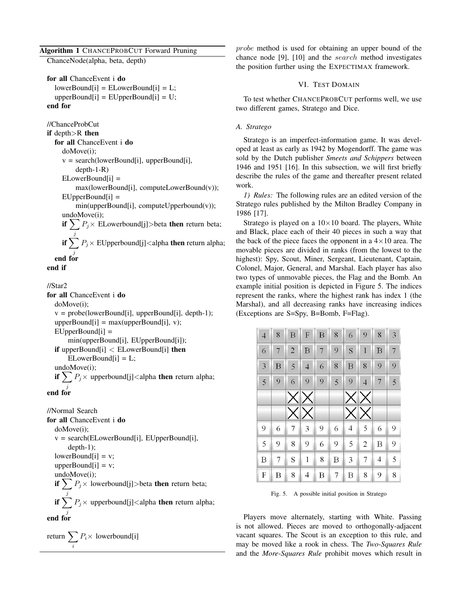## Algorithm 1 CHANCEPROBCUT Forward Pruning

ChanceNode(alpha, beta, depth)

```
for all ChanceEvent i do
  lowerBound[i] = ELowerBound[i] = L;upperBound[i] = EUpperBound[i] = U;end for
```

```
//ChanceProbCut
if depth>R then
  for all ChanceEvent i do
     doMove(i);
     v = search(lowerBound[i], upperBound[i],depth-1-R)
     ELowerBound[i] =max(lowerBound[i], computeLowerBound(v));
     EUpperBound[i] =min(upperBound[i], computeUpperbound(v));
     undoMove(i);
     if \sum P_j \times ELowerbound[j]>beta then return beta;
        .j
     if \sum P_j \times EUpperbound[j]<alpha then return alpha;
        j
```
end for

end if

## //Star2

for all ChanceEvent i do doMove(i);  $v = probe(lowerBound[i], upperBound[i], depth-1);$  $upperBound[i] = max(upperBound[i], v);$  $EUpperBound[i] =$ min(upperBound[i], EUpperBound[i]); if upperBound $[i] <$  ELowerBound $[i]$  then  $ELowerBound[i] = L;$ undoMove(i); if  $\sum P_j \times$  upperbound[j]<alpha then return alpha; j end for

//Normal Search for all ChanceEvent i do doMove(i); v = search(ELowerBound[i], EUpperBound[i], depth-1);  $lowerBound[i] = v;$ upperBound $[i] = v$ ; undoMove(i); if  $\sum P_j \times$  lowerbound[j]>beta then return beta; j if  $\sum P_j \times$  upperbound[j]<alpha then return alpha; j end for

$$
return \sum_{i} P_{i} \times \text{lowerbound[i]}
$$

probe method is used for obtaining an upper bound of the chance node [9], [10] and the search method investigates the position further using the EXPECTIMAX framework.

## VI. TEST DOMAIN

To test whether CHANCEPROBCUT performs well, we use two different games, Stratego and Dice.

## *A. Stratego*

Stratego is an imperfect-information game. It was developed at least as early as 1942 by Mogendorff. The game was sold by the Dutch publisher *Smeets and Schippers* between 1946 and 1951 [16]. In this subsection, we will first briefly describe the rules of the game and thereafter present related work.

*1) Rules:* The following rules are an edited version of the Stratego rules published by the Milton Bradley Company in 1986 [17].

Stratego is played on a  $10\times10$  board. The players, White and Black, place each of their 40 pieces in such a way that the back of the piece faces the opponent in a  $4 \times 10$  area. The movable pieces are divided in ranks (from the lowest to the highest): Spy, Scout, Miner, Sergeant, Lieutenant, Captain, Colonel, Major, General, and Marshal. Each player has also two types of unmovable pieces, the Flag and the Bomb. An example initial position is depicted in Figure 5. The indices represent the ranks, where the highest rank has index 1 (the Marshal), and all decreasing ranks have increasing indices (Exceptions are S=Spy, B=Bomb, F=Flag).

| $\overline{4}$ | 8 | B              | F                        | B | 8 | 6 | 9              | 8 | 3 |
|----------------|---|----------------|--------------------------|---|---|---|----------------|---|---|
| 6              | 7 | $\overline{2}$ | B                        | 7 | 9 | S | 1              | B | 7 |
| 3              | В | 5              | $\overline{\mathcal{A}}$ | 6 | 8 | B | 8              | 9 | 9 |
| 5              | 9 | 6              | 9                        | 9 | 5 | 9 | $\overline{4}$ | 7 | 5 |
|                |   |                | $\times$ $\times$        |   |   |   | XX             |   |   |
|                |   |                |                          |   |   |   |                |   |   |
|                |   |                | $\times$ $\times$        |   |   |   | XIX            |   |   |
| 9              | 6 | 7              | 3                        | 9 | 6 | 4 | 5              | 6 | 9 |
| 5              | 9 | 8              | 9                        | 6 | 9 | 5 | $\overline{c}$ | Β | 9 |
| B              | 7 | S              | $\mathbf{1}$             | 8 | B | 3 | 7              | 4 | 5 |

Fig. 5. A possible initial position in Stratego

Players move alternately, starting with White. Passing is not allowed. Pieces are moved to orthogonally-adjacent vacant squares. The Scout is an exception to this rule, and may be moved like a rook in chess. The *Two-Squares Rule* and the *More-Squares Rule* prohibit moves which result in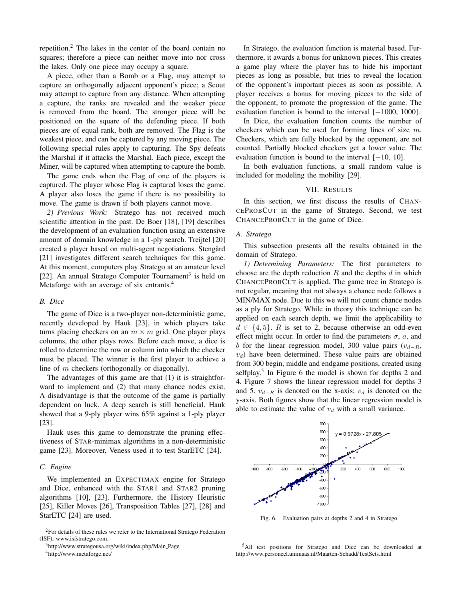repetition.<sup>2</sup> The lakes in the center of the board contain no squares; therefore a piece can neither move into nor cross the lakes. Only one piece may occupy a square.

A piece, other than a Bomb or a Flag, may attempt to capture an orthogonally adjacent opponent's piece; a Scout may attempt to capture from any distance. When attempting a capture, the ranks are revealed and the weaker piece is removed from the board. The stronger piece will be positioned on the square of the defending piece. If both pieces are of equal rank, both are removed. The Flag is the weakest piece, and can be captured by any moving piece. The following special rules apply to capturing. The Spy defeats the Marshal if it attacks the Marshal. Each piece, except the Miner, will be captured when attempting to capture the bomb.

The game ends when the Flag of one of the players is captured. The player whose Flag is captured loses the game. A player also loses the game if there is no possibility to move. The game is drawn if both players cannot move.

*2) Previous Work:* Stratego has not received much scientific attention in the past. De Boer [18], [19] describes the development of an evaluation function using an extensive amount of domain knowledge in a 1-ply search. Treijtel [20] created a player based on multi-agent negotiations. Stengård [21] investigates different search techniques for this game. At this moment, computers play Stratego at an amateur level [22]. An annual Stratego Computer Tournament<sup>3</sup> is held on Metaforge with an average of six entrants.<sup>4</sup>

## *B. Dice*

The game of Dice is a two-player non-deterministic game, recently developed by Hauk [23], in which players take turns placing checkers on an  $m \times m$  grid. One player plays columns, the other plays rows. Before each move, a dice is rolled to determine the row or column into which the checker must be placed. The winner is the first player to achieve a line of m checkers (orthogonally or diagonally).

The advantages of this game are that (1) it is straightforward to implement and (2) that many chance nodes exist. A disadvantage is that the outcome of the game is partially dependent on luck. A deep search is still beneficial. Hauk showed that a 9-ply player wins 65% against a 1-ply player [23].

Hauk uses this game to demonstrate the pruning effectiveness of STAR-minimax algorithms in a non-deterministic game [23]. Moreover, Veness used it to test StarETC [24].

## *C. Engine*

We implemented an EXPECTIMAX engine for Stratego and Dice, enhanced with the STAR1 and STAR2 pruning algorithms [10], [23]. Furthermore, the History Heuristic [25], Killer Moves [26], Transposition Tables [27], [28] and StarETC [24] are used.

<sup>3</sup>http://www.strategousa.org/wiki/index.php/Main Page

<sup>4</sup>http://www.metaforge.net/

In Stratego, the evaluation function is material based. Furthermore, it awards a bonus for unknown pieces. This creates a game play where the player has to hide his important pieces as long as possible, but tries to reveal the location of the opponent's important pieces as soon as possible. A player receives a bonus for moving pieces to the side of the opponent, to promote the progression of the game. The evaluation function is bound to the interval [−1000, 1000].

In Dice, the evaluation function counts the number of checkers which can be used for forming lines of size m. Checkers, which are fully blocked by the opponent, are not counted. Partially blocked checkers get a lower value. The evaluation function is bound to the interval  $[-10, 10]$ .

In both evaluation functions, a small random value is included for modeling the mobility [29].

## VII. RESULTS

In this section, we first discuss the results of CHAN-CEPROBCUT in the game of Stratego. Second, we test CHANCEPROBCUT in the game of Dice.

## *A. Stratego*

This subsection presents all the results obtained in the domain of Stratego.

*1) Determining Parameters:* The first parameters to choose are the depth reduction  $R$  and the depths  $d$  in which CHANCEPROBCUT is applied. The game tree in Stratego is not regular, meaning that not always a chance node follows a MIN/MAX node. Due to this we will not count chance nodes as a ply for Stratego. While in theory this technique can be applied on each search depth, we limit the applicability to  $d \in \{4, 5\}$ . R is set to 2, because otherwise an odd-even effect might occur. In order to find the parameters  $\sigma$ , a, and b for the linear regression model, 300 value pairs  $(v_{d-R}$ ,  $v<sub>d</sub>$ ) have been determined. These value pairs are obtained from 300 begin, middle and endgame positions, created using selfplay.<sup>5</sup> In Figure 6 the model is shown for depths 2 and 4. Figure 7 shows the linear regression model for depths 3 and 5.  $v_{d-R}$  is denoted on the x-axis;  $v_d$  is denoted on the y-axis. Both figures show that the linear regression model is able to estimate the value of  $v_d$  with a small variance.



Fig. 6. Evaluation pairs at depths 2 and 4 in Stratego

<sup>5</sup>All test positions for Stratego and Dice can be downloaded at http://www.personeel.unimaas.nl/Maarten-Schadd/TestSets.html

<sup>2</sup>For details of these rules we refer to the International Stratego Federation (ISF), www.isfstratego.com.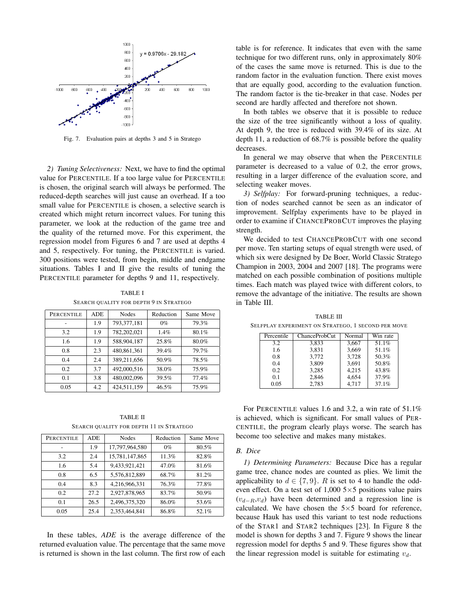

Fig. 7. Evaluation pairs at depths 3 and 5 in Stratego

*2) Tuning Selectiveness:* Next, we have to find the optimal value for PERCENTILE. If a too large value for PERCENTILE is chosen, the original search will always be performed. The reduced-depth searches will just cause an overhead. If a too small value for PERCENTILE is chosen, a selective search is created which might return incorrect values. For tuning this parameter, we look at the reduction of the game tree and the quality of the returned move. For this experiment, the regression model from Figures 6 and 7 are used at depths 4 and 5, respectively. For tuning, the PERCENTILE is varied. 300 positions were tested, from begin, middle and endgame situations. Tables I and II give the results of tuning the PERCENTILE parameter for depths 9 and 11, respectively.

TABLE I SEARCH QUALITY FOR DEPTH 9 IN STRATEGO

| PERCENTILE | <b>ADE</b> | <b>Nodes</b> | Reduction | Same Move |
|------------|------------|--------------|-----------|-----------|
|            | 1.9        | 793,377,181  | $0\%$     | 79.3%     |
| 3.2        | 1.9        | 782,202,021  | 1.4%      | 80.1%     |
| 1.6        | 1.9        | 588,904,187  | 25.8%     | 80.0%     |
| 0.8        | 2.3        | 480,861,361  | 39.4%     | 79.7%     |
| 0.4        | 2.4        | 389,211,656  | 50.9%     | 78.5%     |
| 0.2        | 3.7        | 492,000,516  | 38.0%     | 75.9%     |
| 0.1        | 3.8        | 480,002,096  | 39.5%     | 77.4%     |
| 0.05       | 4.2        | 424,511,159  | 46.5%     | 75.9%     |

TABLE II SEARCH QUALITY FOR DEPTH 11 IN STRATEGO

| PERCENTILE | ADE  | <b>Nodes</b>   | Reduction | Same Move |
|------------|------|----------------|-----------|-----------|
|            | 1.9  | 17,797,964,580 | $0\%$     | 80.5%     |
| 3.2        | 2.4  | 15,781,147,865 | 11.3%     | 82.8%     |
| 1.6        | 5.4  | 9.433.921.421  | 47.0%     | 81.6%     |
| 0.8        | 6.5  | 5,576,812,889  | 68.7%     | 81.2%     |
| 0.4        | 8.3  | 4,216,966,331  | 76.3%     | 77.8%     |
| 0.2        | 27.2 | 2,927,878,965  | 83.7%     | 50.9%     |
| 0.1        | 26.5 | 2,496,375,320  | 86.0%     | 53.6%     |
| 0.05       | 25.4 | 2.353.464.841  | 86.8%     | 52.1%     |

In these tables, *ADE* is the average difference of the returned evaluation value. The percentage that the same move is returned is shown in the last column. The first row of each

table is for reference. It indicates that even with the same technique for two different runs, only in approximately 80% of the cases the same move is returned. This is due to the random factor in the evaluation function. There exist moves that are equally good, according to the evaluation function. The random factor is the tie-breaker in that case. Nodes per second are hardly affected and therefore not shown.

In both tables we observe that it is possible to reduce the size of the tree significantly without a loss of quality. At depth 9, the tree is reduced with 39.4% of its size. At depth 11, a reduction of 68.7% is possible before the quality decreases.

In general we may observe that when the PERCENTILE parameter is decreased to a value of 0.2, the error grows, resulting in a larger difference of the evaluation score, and selecting weaker moves.

*3) Selfplay:* For forward-pruning techniques, a reduction of nodes searched cannot be seen as an indicator of improvement. Selfplay experiments have to be played in order to examine if CHANCEPROBCUT improves the playing strength.

We decided to test CHANCEPROBCUT with one second per move. Ten starting setups of equal strength were used, of which six were designed by De Boer, World Classic Stratego Champion in 2003, 2004 and 2007 [18]. The programs were matched on each possible combination of positions multiple times. Each match was played twice with different colors, to remove the advantage of the initiative. The results are shown in Table III.

Percentile | ChanceProbCut | Normal | Win rate 3.2 | 3,833 | 3,667 | 51.1%  $\begin{array}{c|c|c|c|c} 1.6 & 3,831 & 3,669 & 51.1\% \\ 0.8 & 3,772 & 3,728 & 50.3\% \end{array}$ 0.8 | 3,772 | 3,728 | 50.3%  $\begin{array}{c|c|c|c|c} 0.4 & 3,809 & 3,691 & 50.8\% \\ 0.2 & 3,285 & 4,215 & 43.8\% \end{array}$ 0.2 3,285 4,215 43.8% 0.1 2,846 4,654 37.9% 0.05 2,783 4,717 37.1%

TABLE III SELFPLAY EXPERIMENT ON STRATEGO, 1 SECOND PER MOVE

For PERCENTILE values 1.6 and 3.2, a win rate of 51.1% is achieved, which is significant. For small values of PER-CENTILE, the program clearly plays worse. The search has become too selective and makes many mistakes.

### *B. Dice*

*1) Determining Parameters:* Because Dice has a regular game tree, chance nodes are counted as plies. We limit the applicability to  $d \in \{7, 9\}$ . R is set to 4 to handle the oddeven effect. On a test set of  $1,000$  5×5 positions value pairs  $(v_{d-R},v_d)$  have been determined and a regression line is calculated. We have chosen the  $5\times 5$  board for reference, because Hauk has used this variant to test node reductions of the STAR1 and STAR2 techniques [23]. In Figure 8 the model is shown for depths 3 and 7. Figure 9 shows the linear regression model for depths 5 and 9. These figures show that the linear regression model is suitable for estimating  $v_d$ .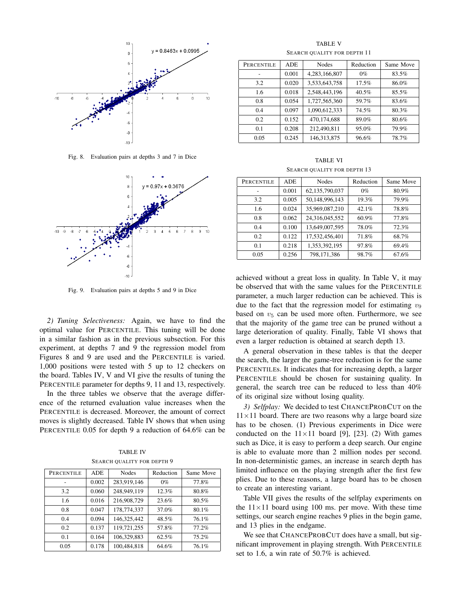

Fig. 8. Evaluation pairs at depths 3 and 7 in Dice



Fig. 9. Evaluation pairs at depths 5 and 9 in Dice

*2) Tuning Selectiveness:* Again, we have to find the optimal value for PERCENTILE. This tuning will be done in a similar fashion as in the previous subsection. For this experiment, at depths 7 and 9 the regression model from Figures 8 and 9 are used and the PERCENTILE is varied. 1,000 positions were tested with 5 up to 12 checkers on the board. Tables IV, V and VI give the results of tuning the PERCENTILE parameter for depths 9, 11 and 13, respectively.

In the three tables we observe that the average difference of the returned evaluation value increases when the PERCENTILE is decreased. Moreover, the amount of correct moves is slightly decreased. Table IV shows that when using PERCENTILE 0.05 for depth 9 a reduction of 64.6% can be

TABLE IV SEARCH QUALITY FOR DEPTH 9

| PERCENTILE | ADE   | <b>Nodes</b> | Reduction | Same Move |
|------------|-------|--------------|-----------|-----------|
|            | 0.002 | 283,919,146  | $0\%$     | 77.8%     |
| 3.2        | 0.060 | 248,949,119  | 12.3%     | 80.8%     |
| 1.6        | 0.016 | 216,908,729  | 23.6%     | 80.5%     |
| 0.8        | 0.047 | 178,774,337  | 37.0%     | 80.1%     |
| 0.4        | 0.094 | 146,325,442  | 48.5%     | 76.1%     |
| 0.2        | 0.137 | 119,721,255  | 57.8%     | 77.2%     |
| 0.1        | 0.164 | 106,329,883  | 62.5%     | 75.2%     |
| 0.05       | 0.178 | 100,484,818  | 64.6%     | 76.1%     |

TABLE V SEARCH QUALITY FOR DEPTH 11

| <b>PERCENTILE</b> | <b>ADE</b> | <b>Nodes</b>  | Reduction | Same Move |
|-------------------|------------|---------------|-----------|-----------|
|                   | 0.001      | 4,283,166,807 | $0\%$     | 83.5%     |
| 3.2               | 0.020      | 3,533,643,758 | 17.5%     | 86.0%     |
| 1.6               | 0.018      | 2.548.443.196 | $40.5\%$  | 85.5%     |
| 0.8               | 0.054      | 1,727,565,360 | 59.7%     | 83.6%     |
| 0.4               | 0.097      | 1,090,612,333 | 74.5%     | 80.3%     |
| 0.2               | 0.152      | 470,174,688   | 89.0%     | 80.6%     |
| 0 <sub>1</sub>    | 0.208      | 212,490,811   | 95.0%     | 79.9%     |
| 0.05              | 0.245      | 146, 313, 875 | 96.6%     | 78.7%     |

TABLE VI SEARCH QUALITY FOR DEPTH 13

| PERCENTILE | <b>ADE</b> | <b>Nodes</b>   | Reduction | Same Move |
|------------|------------|----------------|-----------|-----------|
|            | 0.001      | 62,135,790,037 | $0\%$     | 80.9%     |
| 3.2        | 0.005      | 50,148,996,143 | 19.3%     | 79.9%     |
| 1.6        | 0.024      | 35,969,087,210 | 42.1%     | 78.8%     |
| 0.8        | 0.062      | 24,316,045,552 | $60.9\%$  | 77.8%     |
| 0.4        | 0.100      | 13,649,007,595 | 78.0%     | 72.3%     |
| 0.2        | 0.122      | 17,532,456,401 | 71.8%     | 68.7%     |
| 0.1        | 0.218      | 1,353,392,195  | 97.8%     | 69.4%     |
| 0.05       | 0.256      | 798,171,386    | 98.7%     | 67.6%     |

achieved without a great loss in quality. In Table V, it may be observed that with the same values for the PERCENTILE parameter, a much larger reduction can be achieved. This is due to the fact that the regression model for estimating  $v_9$ based on  $v_5$  can be used more often. Furthermore, we see that the majority of the game tree can be pruned without a large deterioration of quality. Finally, Table VI shows that even a larger reduction is obtained at search depth 13.

A general observation in these tables is that the deeper the search, the larger the game-tree reduction is for the same PERCENTILEs. It indicates that for increasing depth, a larger PERCENTILE should be chosen for sustaining quality. In general, the search tree can be reduced to less than 40% of its original size without losing quality.

*3) Selfplay:* We decided to test CHANCEPROBCUT on the  $11\times11$  board. There are two reasons why a large board size has to be chosen. (1) Previous experiments in Dice were conducted on the  $11 \times 11$  board [9], [23]. (2) With games such as Dice, it is easy to perform a deep search. Our engine is able to evaluate more than 2 million nodes per second. In non-deterministic games, an increase in search depth has limited influence on the playing strength after the first few plies. Due to these reasons, a large board has to be chosen to create an interesting variant.

Table VII gives the results of the selfplay experiments on the  $11 \times 11$  board using 100 ms. per move. With these time settings, our search engine reaches 9 plies in the begin game, and 13 plies in the endgame.

We see that CHANCEPROBCUT does have a small, but significant improvement in playing strength. With PERCENTILE set to 1.6, a win rate of 50.7% is achieved.